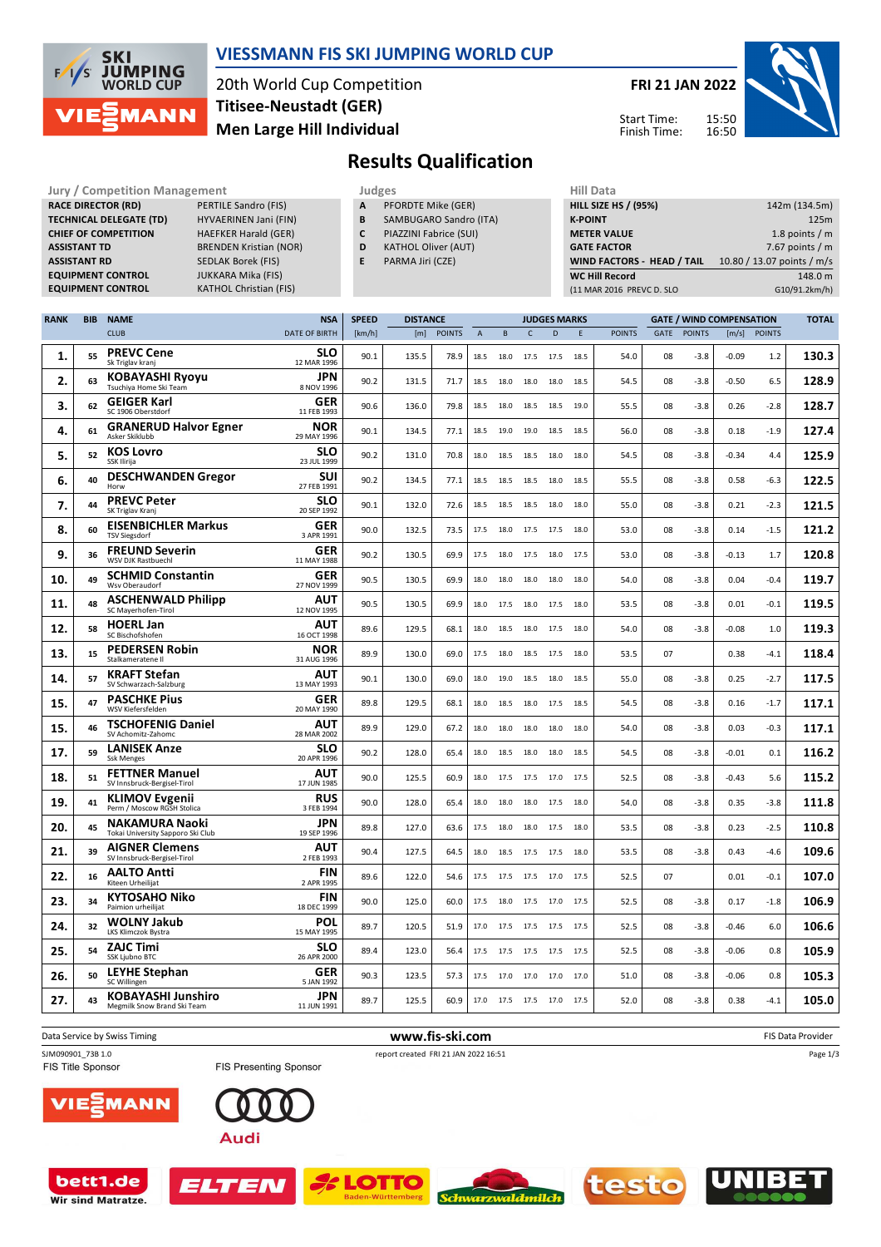

#### **VIESSMANN FIS SKI JUMPING WORLD CUP**

20th World Cup Competition **Men Large Hill Individual Titisee-Neustadt (GER)**

**KATHOL Christian (FIS)** 

**FRI 21 JAN 2022**

Start Time: Finish Time:



# **Results Qualification**

**Jury / Competition Management Judges** Judges Hill Data<br> **RACE DIRECTOR (RD)** PERTILE Sandro (FIS) **A** PFORDTE Mike (GER) **HILL SIZE HILL SIZE RACE DIRECTOR (RD) TECHNICAL DELEGATE (TD)** HYVAERINEN Jani (FIN) **CHIEF OF COMPETITION** HAEFKER Harald (GER) **ASSISTANT TD** BRENDEN Kristian (NOR) **ASSISTANT RD** SEDLAK Borek (FIS)<br>**EQUIPMENT CONTROL** JUKKARA Mika (FIS) **EQUIPMENT CONTROL**<br>**EQUIPMENT CONTROL** 

- **A** PFORDTE Mike (GER)
- **B** SAMBUGARO Sandro (ITA)
- **C** PIAZZINI Fabrice (SUI)
- **D** KATHOL Oliver (AUT)
- **E** PARMA Jiri (CZE)

| .                                 |                            |
|-----------------------------------|----------------------------|
| <b>HILL SIZE HS / (95%)</b>       | 142m (134.5m)              |
| <b>K-POINT</b>                    | 125m                       |
| <b>METER VALUE</b>                | 1.8 points $/m$            |
| <b>GATE FACTOR</b>                | 7.67 points $/m$           |
| <b>WIND FACTORS - HEAD / TAIL</b> | 10.80 / 13.07 points / m/s |
| <b>WC Hill Record</b>             | 148.0 m                    |
| (11 MAR 2016 PREVC D. SLO         | G10/91.2km/h)              |
|                                   |                            |

| <b>RANK</b> | <b>BIB</b> | <b>NAME</b>                                                | <b>NSA</b>                | <b>SPEED</b> | <b>DISTANCE</b> |               |                | <b>GATE / WIND COMPENSATION</b><br><b>JUDGES MARKS</b> |                |              |      |               |      | <b>TOTAL</b>  |         |              |       |
|-------------|------------|------------------------------------------------------------|---------------------------|--------------|-----------------|---------------|----------------|--------------------------------------------------------|----------------|--------------|------|---------------|------|---------------|---------|--------------|-------|
|             |            | <b>CLUB</b>                                                | <b>DATE OF BIRTH</b>      | [km/h]       | [m]             | <b>POINTS</b> | $\overline{A}$ | B                                                      | $\mathsf{C}$   | $\mathsf{D}$ | E    | <b>POINTS</b> | GATE | <b>POINTS</b> |         | [m/s] POINTS |       |
| 1.          | 55         | <b>PREVC Cene</b><br>Sk Triglav kranj                      | <b>SLO</b><br>12 MAR 1996 | 90.1         | 135.5           | 78.9          | 18.5           | 18.0                                                   | 17.5           | 17.5         | 18.5 | 54.0          | 08   | $-3.8$        | $-0.09$ | 1.2          | 130.3 |
| 2.          | 63         | KOBAYASHI Ryoyu<br>Tsuchiya Home Ski Team                  | <b>JPN</b><br>8 NOV 1996  | 90.2         | 131.5           | 71.7          | 18.5           | 18.0                                                   | 18.0           | 18.0         | 18.5 | 54.5          | 08   | $-3.8$        | $-0.50$ | 6.5          | 128.9 |
| з.          | 62         | <b>GEIGER Karl</b><br>SC 1906 Oberstdorf                   | GER<br>11 FEB 1993        | 90.6         | 136.0           | 79.8          | 18.5           | 18.0                                                   | 18.5           | 18.5         | 19.0 | 55.5          | 08   | $-3.8$        | 0.26    | $-2.8$       | 128.7 |
| 4.          | 61         | <b>GRANERUD Halvor Egner</b><br>Asker Skiklubb             | <b>NOR</b><br>29 MAY 1996 | 90.1         | 134.5           | 77.1          | 18.5           | 19.0                                                   | 19.0           | 18.5         | 18.5 | 56.0          | 08   | $-3.8$        | 0.18    | -1.9         | 127.4 |
| 5.          | 52         | <b>KOS Lovro</b><br><b>SSK Ilirija</b>                     | <b>SLO</b><br>23 JUL 1999 | 90.2         | 131.0           | 70.8          | 18.0           | 18.5                                                   | 18.5           | 18.0         | 18.0 | 54.5          | 08   | $-3.8$        | $-0.34$ | 4.4          | 125.9 |
| 6.          | 40         | <b>DESCHWANDEN Gregor</b><br>Horw                          | <b>SUI</b><br>27 FEB 1991 | 90.2         | 134.5           | 77.1          | 18.5           | 18.5                                                   | 18.5           | 18.0         | 18.5 | 55.5          | 08   | $-3.8$        | 0.58    | -6.3         | 122.5 |
| 7.          | 44         | <b>PREVC Peter</b><br>SK Triglav Kranj                     | <b>SLO</b><br>20 SEP 1992 | 90.1         | 132.0           | 72.6          | 18.5           | 18.5                                                   | 18.5           | 18.0         | 18.0 | 55.0          | 08   | $-3.8$        | 0.21    | $-2.3$       | 121.5 |
| 8.          | 60         | <b>EISENBICHLER Markus</b><br><b>TSV Siegsdorf</b>         | <b>GER</b><br>3 APR 1991  | 90.0         | 132.5           | 73.5          | 17.5           | 18.0                                                   | 17.5           | 17.5         | 18.0 | 53.0          | 08   | $-3.8$        | 0.14    | $-1.5$       | 121.2 |
| 9.          | 36         | <b>FREUND Severin</b><br>WSV DJK Rastbuechl                | <b>GER</b><br>11 MAY 1988 | 90.2         | 130.5           | 69.9          | 17.5           |                                                        | 18.0 17.5      | 18.0         | 17.5 | 53.0          | 08   | $-3.8$        | $-0.13$ | 1.7          | 120.8 |
| 10.         | 49         | <b>SCHMID Constantin</b><br>Wsv Oberaudorf                 | GER<br>27 NOV 1999        | 90.5         | 130.5           | 69.9          | 18.0           | 18.0                                                   | 18.0           | 18.0         | 18.0 | 54.0          | 08   | $-3.8$        | 0.04    | $-0.4$       | 119.7 |
| 11.         | 48         | <b>ASCHENWALD Philipp</b><br>SC Mayerhofen-Tirol           | AUT<br>12 NOV 1995        | 90.5         | 130.5           | 69.9          | 18.0           | 17.5                                                   | 18.0           | 17.5         | 18.0 | 53.5          | 08   | $-3.8$        | 0.01    | $-0.1$       | 119.5 |
| 12.         | 58         | <b>HOERL Jan</b><br>SC Bischofshofen                       | AUT<br>16 OCT 1998        | 89.6         | 129.5           | 68.1          | 18.0           | 18.5                                                   | 18.0           | 17.5         | 18.0 | 54.0          | 08   | $-3.8$        | $-0.08$ | 1.0          | 119.3 |
| 13.         | 15         | <b>PEDERSEN Robin</b><br>Stalkameratene II                 | <b>NOR</b><br>31 AUG 1996 | 89.9         | 130.0           | 69.0          | 17.5           | 18.0                                                   | 18.5           | 17.5         | 18.0 | 53.5          | 07   |               | 0.38    | $-4.1$       | 118.4 |
| 14.         | 57         | <b>KRAFT Stefan</b><br>SV Schwarzach-Salzburg              | AUT<br>13 MAY 1993        | 90.1         | 130.0           | 69.0          | 18.0           | 19.0                                                   | 18.5           | 18.0         | 18.5 | 55.0          | 08   | $-3.8$        | 0.25    | -2.7         | 117.5 |
| 15.         | 47         | <b>PASCHKE Pius</b><br>WSV Kiefersfelden                   | <b>GER</b><br>20 MAY 1990 | 89.8         | 129.5           | 68.1          | 18.0           | 18.5                                                   | 18.0           | 17.5         | 18.5 | 54.5          | 08   | $-3.8$        | 0.16    | $-1.7$       | 117.1 |
| 15.         | 46         | <b>TSCHOFENIG Daniel</b><br>SV Achomitz-Zahomc             | AUT<br>28 MAR 2002        | 89.9         | 129.0           | 67.2          | 18.0           | 18.0                                                   | 18.0           | 18.0         | 18.0 | 54.0          | 08   | $-3.8$        | 0.03    | $-0.3$       | 117.1 |
| 17.         | 59         | <b>LANISEK Anze</b><br><b>Ssk Menges</b>                   | <b>SLO</b><br>20 APR 1996 | 90.2         | 128.0           | 65.4          | 18.0           | 18.5                                                   | 18.0           | 18.0         | 18.5 | 54.5          | 08   | $-3.8$        | $-0.01$ | 0.1          | 116.2 |
| 18.         | 51         | <b>FETTNER Manuel</b><br>SV Innsbruck-Bergisel-Tirol       | AUT<br>17 JUN 1985        | 90.0         | 125.5           | 60.9          | 18.0           | 17.5                                                   | 17.5           | 17.0         | 17.5 | 52.5          | 08   | $-3.8$        | $-0.43$ | 5.6          | 115.2 |
| 19.         | 41         | <b>KLIMOV Evgenii</b><br>Perm / Moscow RGSH Stolica        | <b>RUS</b><br>3 FEB 1994  | 90.0         | 128.0           | 65.4          | 18.0           | 18.0                                                   | 18.0           | 17.5         | 18.0 | 54.0          | 08   | $-3.8$        | 0.35    | $-3.8$       | 111.8 |
| 20.         | 45         | <b>NAKAMURA Naoki</b><br>Tokai University Sapporo Ski Club | <b>JPN</b><br>19 SEP 1996 | 89.8         | 127.0           | 63.6          | 17.5           | 18.0                                                   | 18.0           | 17.5         | 18.0 | 53.5          | 08   | $-3.8$        | 0.23    | -2.5         | 110.8 |
| 21.         | 39         | <b>AIGNER Clemens</b><br>SV Innsbruck-Bergisel-Tirol       | AUT<br>2 FEB 1993         | 90.4         | 127.5           | 64.5          | 18.0           | 18.5                                                   | 17.5           | 17.5         | 18.0 | 53.5          | 08   | $-3.8$        | 0.43    | $-4.6$       | 109.6 |
| 22.         | 16         | <b>AALTO Antti</b><br>Kiteen Urheilijat                    | <b>FIN</b><br>2 APR 1995  | 89.6         | 122.0           | 54.6          | 17.5           | 17.5                                                   | 17.5           | 17.0         | 17.5 | 52.5          | 07   |               | 0.01    | -0.1         | 107.0 |
| 23.         | 34         | <b>KYTOSAHO Niko</b><br>Paimion urheilijat                 | <b>FIN</b><br>18 DEC 1999 | 90.0         | 125.0           | 60.0          | 17.5           | 18.0                                                   | 17.5           | 17.0         | 17.5 | 52.5          | 08   | $-3.8$        | 0.17    | $-1.8$       | 106.9 |
| 24.         | 32         | <b>WOLNY Jakub</b><br><b>LKS Klimczok Bystra</b>           | POL<br>15 MAY 1995        | 89.7         | 120.5           | 51.9          | 17.0           | 17.5                                                   | 17.5           | 17.5         | 17.5 | 52.5          | 08   | $-3.8$        | $-0.46$ | 6.0          | 106.6 |
| 25.         | 54         | <b>ZAJC Timi</b><br>SSK Ljubno BTC                         | <b>SLO</b><br>26 APR 2000 | 89.4         | 123.0           | 56.4          | 17.5           |                                                        | 17.5 17.5 17.5 |              | 17.5 | 52.5          | 08   | $-3.8$        | $-0.06$ | 0.8          | 105.9 |
| 26.         | 50         | <b>LEYHE Stephan</b><br>SC Willingen                       | GER<br>5 JAN 1992         | 90.3         | 123.5           | 57.3          | 17.5           | 17.0                                                   | 17.0           | 17.0         | 17.0 | 51.0          | 08   | $-3.8$        | $-0.06$ | 0.8          | 105.3 |
| 27.         | 43         | <b>KOBAYASHI Junshiro</b><br>Megmilk Snow Brand Ski Team   | JPN<br>11 JUN 1991        | 89.7         | 125.5           | 60.9          | 17.0           |                                                        | 17.5 17.5 17.0 |              | 17.5 | 52.0          | 08   | $-3.8$        | 0.38    | $-4.1$       | 105.0 |

Data Service by Swiss Timing **WWW.fis-Ski.com www.fis-ski.com WWW.fis-Ski.com FIS Data Provider** SJM090901\_73B 1.0 report created FRI 21 JAN 2022 16:51<br>
FIS Tresenting Sponsor report created FRI 21 JAN 2022 16:51



| 3 E

Page 1/3

**MANN** /IE:



FIS Presenting Sponsor







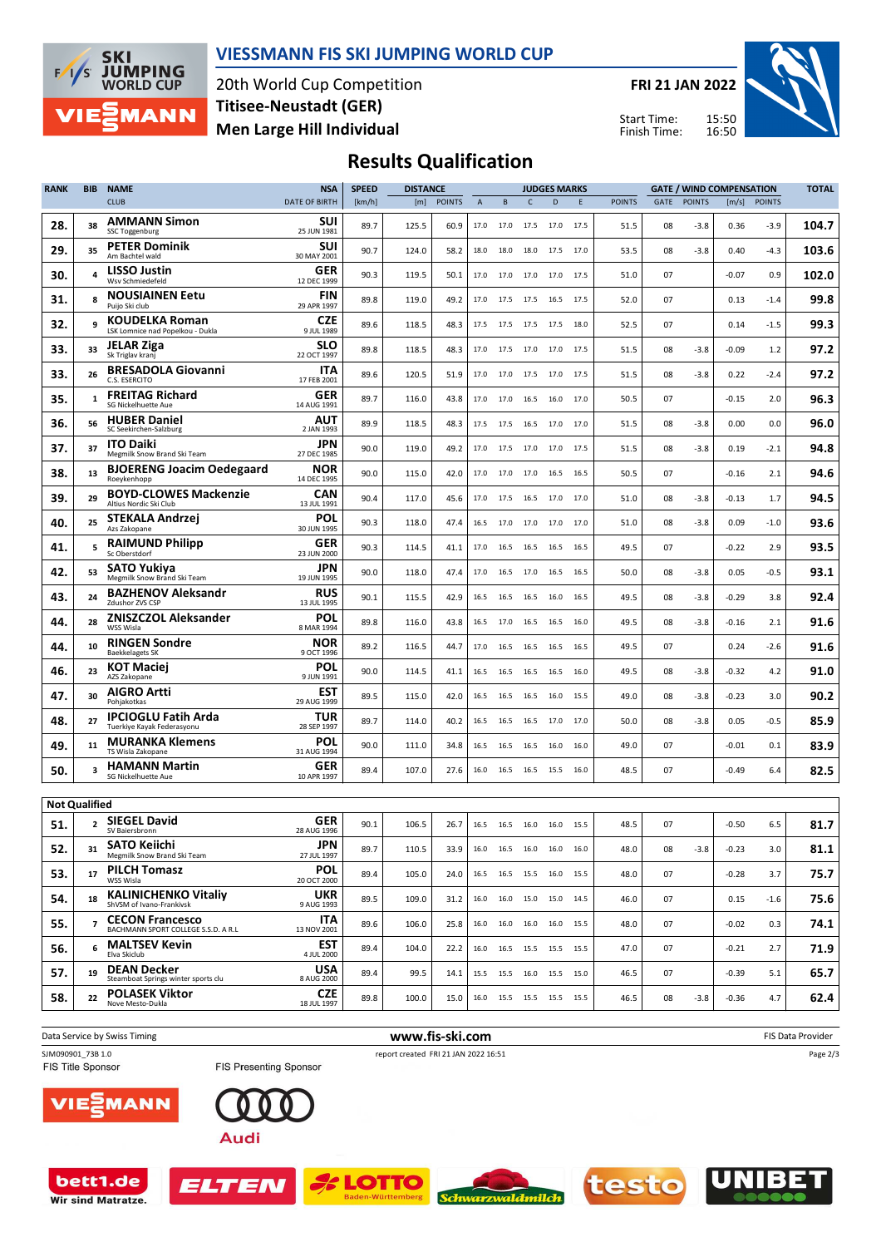

#### **VIESSMANN FIS SKI JUMPING WORLD CUP**

20th World Cup Competition **Men Large Hill Individual Titisee-Neustadt (GER)**

**FRI 21 JAN 2022**

Start Time: Finish Time:



### **Results Qualification**

| <b>RANK</b>          | <b>BIB</b>     | <b>NAME</b>                                                   | <b>NSA</b>                | <b>SPEED</b> | <b>DISTANCE</b> |               |      |      |                | <b>JUDGES MARKS</b>                                    |      | <b>GATE / WIND COMPENSATION</b> |      |               |         |               | <b>TOTAL</b> |
|----------------------|----------------|---------------------------------------------------------------|---------------------------|--------------|-----------------|---------------|------|------|----------------|--------------------------------------------------------|------|---------------------------------|------|---------------|---------|---------------|--------------|
|                      |                | <b>CLUB</b>                                                   | <b>DATE OF BIRTH</b>      | [km/h]       | [m]             | <b>POINTS</b> | A    | B    | $\mathsf{C}$   | D                                                      | E    | <b>POINTS</b>                   | GATE | <b>POINTS</b> | [m/s]   | <b>POINTS</b> |              |
| 28.                  | 38             | <b>AMMANN Simon</b><br><b>SSC Toggenburg</b>                  | <b>SUI</b><br>25 JUN 1981 | 89.7         | 125.5           | 60.9          | 17.0 | 17.0 | 17.5           | 17.0                                                   | 17.5 | 51.5                            | 08   | $-3.8$        | 0.36    | -3.9          | 104.7        |
| 29.                  | 35             | <b>PETER Dominik</b><br>Am Bachtel wald                       | SUI<br>30 MAY 2001        | 90.7         | 124.0           | 58.2          | 18.0 | 18.0 | 18.0           | 17.5                                                   | 17.0 | 53.5                            | 08   | $-3.8$        | 0.40    | $-4.3$        | 103.6        |
| 30.                  |                | <b>LISSO Justin</b><br>Wsv Schmiedefeld                       | GER<br>12 DEC 1999        | 90.3         | 119.5           | 50.1          | 17.0 | 17.0 | 17.0           | 17.0                                                   | 17.5 | 51.0                            | 07   |               | $-0.07$ | 0.9           | 102.0        |
| 31.                  |                | <b>NOUSIAINEN Eetu</b><br>Puijo Ski club                      | <b>FIN</b><br>29 APR 1997 | 89.8         | 119.0           | 49.2          | 17.0 |      | 17.5 17.5 16.5 |                                                        | 17.5 | 52.0                            | 07   |               | 0.13    | $-1.4$        | 99.8         |
| 32.                  | 9              | KOUDELKA Roman<br>LSK Lomnice nad Popelkou - Dukla            | CZE<br>9 JUL 1989         | 89.6         | 118.5           | 48.3          | 17.5 | 17.5 | 17.5           | 17.5                                                   | 18.0 | 52.5                            | 07   |               | 0.14    | $-1.5$        | 99.3         |
| 33.                  | 33             | <b>JELAR Ziga</b><br>Sk Triglav kranj                         | SLO<br>22 OCT 1997        | 89.8         | 118.5           | 48.3          | 17.0 | 17.5 | 17.0           | 17.0                                                   | 17.5 | 51.5                            | 08   | $-3.8$        | $-0.09$ | 1.2           | 97.2         |
| 33.                  | 26             | <b>BRESADOLA Giovanni</b><br>C.S. ESERCITO                    | <b>ITA</b><br>17 FEB 2001 | 89.6         | 120.5           | 51.9          | 17.0 | 17.0 | 17.5           | 17.0                                                   | 17.5 | 51.5                            | 08   | $-3.8$        | 0.22    | $-2.4$        | 97.2         |
| 35.                  | 1              | <b>FREITAG Richard</b><br>SG Nickelhuette Aue                 | <b>GER</b><br>14 AUG 1991 | 89.7         | 116.0           | 43.8          | 17.0 | 17.0 | 16.5           | 16.0                                                   | 17.0 | 50.5                            | 07   |               | $-0.15$ | 2.0           | 96.3         |
| 36.                  | 56             | <b>HUBER Daniel</b><br>SC Seekirchen-Salzburg                 | AUT<br>2 JAN 1993         | 89.9         | 118.5           | 48.3          | 17.5 | 17.5 | 16.5           | 17.0 17.0                                              |      | 51.5                            | 08   | $-3.8$        | 0.00    | 0.0           | 96.0         |
| 37.                  | 37             | <b>ITO Daiki</b><br>Megmilk Snow Brand Ski Team               | JPN<br>27 DEC 1985        | 90.0         | 119.0           | 49.2          | 17.0 | 17.5 | 17.0           | 17.0                                                   | 17.5 | 51.5                            | 08   | $-3.8$        | 0.19    | $-2.1$        | 94.8         |
| 38.                  | 13             | <b>BJOERENG Joacim Oedegaard</b><br>Roeykenhopp               | NOR<br>14 DEC 1995        | 90.0         | 115.0           | 42.0          | 17.0 |      | 17.0 17.0      | 16.5                                                   | 16.5 | 50.5                            | 07   |               | $-0.16$ | 2.1           | 94.6         |
| 39.                  | 29             | <b>BOYD-CLOWES Mackenzie</b><br>Altius Nordic Ski Club        | CAN<br>13 JUL 1991        | 90.4         | 117.0           | 45.6          | 17.0 | 17.5 | 16.5           | 17.0                                                   | 17.0 | 51.0                            | 08   | $-3.8$        | $-0.13$ | 1.7           | 94.5         |
| 40.                  | 25             | <b>STEKALA Andrzej</b><br>Azs Zakopane                        | <b>POL</b><br>30 JUN 1995 | 90.3         | 118.0           | 47.4          | 16.5 | 17.0 | 17.0           | 17.0                                                   | 17.0 | 51.0                            | 08   | $-3.8$        | 0.09    | $-1.0$        | 93.6         |
| 41.                  | 5.             | <b>RAIMUND Philipp</b><br>Sc Oberstdorf                       | GER<br>23 JUN 2000        | 90.3         | 114.5           | 41.1          | 17.0 | 16.5 | 16.5 16.5      |                                                        | 16.5 | 49.5                            | 07   |               | $-0.22$ | 2.9           | 93.5         |
| 42.                  | 53             | SATO Yukiya<br>Megmilk Snow Brand Ski Team                    | JPN<br>19 JUN 1995        | 90.0         | 118.0           | 47.4          | 17.0 | 16.5 | 17.0           | 16.5                                                   | 16.5 | 50.0                            | 08   | $-3.8$        | 0.05    | $-0.5$        | 93.1         |
| 43.                  | 24             | <b>BAZHENOV Aleksandr</b><br>Zdushor ZVS CSP                  | <b>RUS</b><br>13 JUL 1995 | 90.1         | 115.5           | 42.9          | 16.5 | 16.5 | 16.5           | 16.0                                                   | 16.5 | 49.5                            | 08   | $-3.8$        | $-0.29$ | 3.8           | 92.4         |
| 44.                  | 28             | <b>ZNISZCZOL Aleksander</b><br>WSS Wisla                      | POL<br>8 MAR 1994         | 89.8         | 116.0           | 43.8          | 16.5 | 17.0 | 16.5           | 16.5                                                   | 16.0 | 49.5                            | 08   | $-3.8$        | $-0.16$ | 2.1           | 91.6         |
| 44.                  | 10             | <b>RINGEN Sondre</b><br><b>Baekkelagets SK</b>                | <b>NOR</b><br>9 OCT 1996  | 89.2         | 116.5           | 44.7          | 17.0 | 16.5 | 16.5           | 16.5                                                   | 16.5 | 49.5                            | 07   |               | 0.24    | -2.6          | 91.6         |
| 46.                  | 23             | <b>KOT Maciei</b><br>AZS Zakopane                             | <b>POL</b><br>9 JUN 1991  | 90.0         | 114.5           | 41.1          | 16.5 | 16.5 | 16.5 16.5      |                                                        | 16.0 | 49.5                            | 08   | $-3.8$        | $-0.32$ | 4.2           | 91.0         |
| 47.                  | 30             | <b>AIGRO Artti</b><br>Pohjakotkas                             | <b>EST</b><br>29 AUG 1999 | 89.5         | 115.0           | 42.0          | 16.5 | 16.5 | 16.5           | 16.0                                                   | 15.5 | 49.0                            | 08   | $-3.8$        | $-0.23$ | 3.0           | 90.2         |
| 48.                  | 27             | <b>IPCIOGLU Fatih Arda</b><br>Tuerkiye Kayak Federasyonu      | TUR<br>28 SEP 1997        | 89.7         | 114.0           | 40.2          | 16.5 | 16.5 | 16.5           | 17.0                                                   | 17.0 | 50.0                            | 08   | $-3.8$        | 0.05    | $-0.5$        | 85.9         |
| 49.                  | 11             | <b>MURANKA Klemens</b><br>TS Wisla Zakopane                   | <b>POL</b><br>31 AUG 1994 | 90.0         | 111.0           | 34.8          | 16.5 | 16.5 | 16.5           | 16.0                                                   | 16.0 | 49.0                            | 07   |               | $-0.01$ | 0.1           | 83.9         |
| 50.                  |                | <b>HAMANN Martin</b><br>SG Nickelhuette Aue                   | GER<br>10 APR 1997        | 89.4         | 107.0           | 27.6          | 16.0 | 16.5 | 16.5 15.5      |                                                        | 16.0 | 48.5                            | 07   |               | $-0.49$ | 6.4           | 82.5         |
| <b>Not Qualified</b> |                |                                                               |                           |              |                 |               |      |      |                |                                                        |      |                                 |      |               |         |               |              |
| 51.                  |                | <b>SIEGEL David</b><br>SV Baiersbronn                         | <b>GER</b><br>28 AUG 1996 | 90.1         | 106.5           | 26.7          | 16.5 |      |                | 16.5 16.0 16.0 15.5                                    |      | 48.5                            | 07   |               | $-0.50$ | 6.5           | 81.7         |
| 52.                  | 31             | <b>SATO Keiichi</b><br>Megmilk Snow Brand Ski Team            | <b>JPN</b><br>27 JUL 1997 | 89.7         | 110.5           | 33.9          |      |      |                | $16.0 \qquad 16.5 \qquad 16.0 \qquad 16.0 \qquad 16.0$ |      | 48.0                            | 08   | -3.8          | $-0.23$ | 3.0           | 81.1         |
| 53.                  | 17             | <b>PILCH Tomasz</b><br>WSS Wisla                              | <b>POL</b><br>20 OCT 2000 | 89.4         | 105.0           | 24.0          |      |      |                | 16.5 16.5 15.5 16.0 15.5                               |      | 48.0                            | 07   |               | $-0.28$ | 3.7           | 75.7         |
| 54.                  | 18             | <b>KALINICHENKO Vitaliy</b><br>ShVSM of Ivano-Frankivsk       | UKR<br>9 AUG 1993         | 89.5         | 109.0           | 31.2          |      |      |                | 16.0 16.0 15.0 15.0 14.5                               |      | 46.0                            | 07   |               | 0.15    | $-1.6$        | 75.6         |
| 55.                  | $\overline{7}$ | <b>CECON Francesco</b><br>BACHMANN SPORT COLLEGE S.S.D. A R.L | <b>ITA</b><br>13 NOV 2001 | 89.6         | 106.0           | 25.8          | 16.0 |      |                | 16.0 16.0 16.0 15.5                                    |      | 48.0                            | 07   |               | $-0.02$ | 0.3           | 74.1         |
| 56.                  | 6              | <b>MALTSEV Kevin</b><br>Elva Skiclub                          | <b>EST</b><br>4 JUL 2000  | 89.4         | 104.0           | 22.2          |      |      |                | 16.0 16.5 15.5 15.5 15.5                               |      | 47.0                            | 07   |               | $-0.21$ | 2.7           | 71.9         |
| 57.                  | 19             | <b>DEAN Decker</b><br>Steamboat Springs winter sports clu     | USA<br>8 AUG 2000         | 89.4         | 99.5            | 14.1          |      |      |                | 15.5 15.5 16.0 15.5 15.0                               |      | 46.5                            | 07   |               | $-0.39$ | 5.1           | 65.7         |
| 58.                  | 22             | <b>POLASEK Viktor</b><br>Nove Mesto-Dukla                     | <b>CZE</b><br>18 JUL 1997 | 89.8         | 100.0           | 15.0          |      |      |                | 16.0 15.5 15.5 15.5 15.5                               |      | 46.5                            | 08   | $-3.8$        | $-0.36$ | 4.7           | 62.4         |
|                      |                |                                                               |                           |              |                 |               |      |      |                |                                                        |      |                                 |      |               |         |               |              |

Data Service by Swiss Timing **and Service of Structure 1997 www.fis-ski.com** FIS Data Provider SJM090901\_73B 1.0 report created FRI 21 JAN 2022 16:51<br>FIS Title Sponsor **FIS Presenting Sponsor** report created FRI 21 JAN 2022 16:51 Page 2/3/IE) MANN Audi



ELTEN